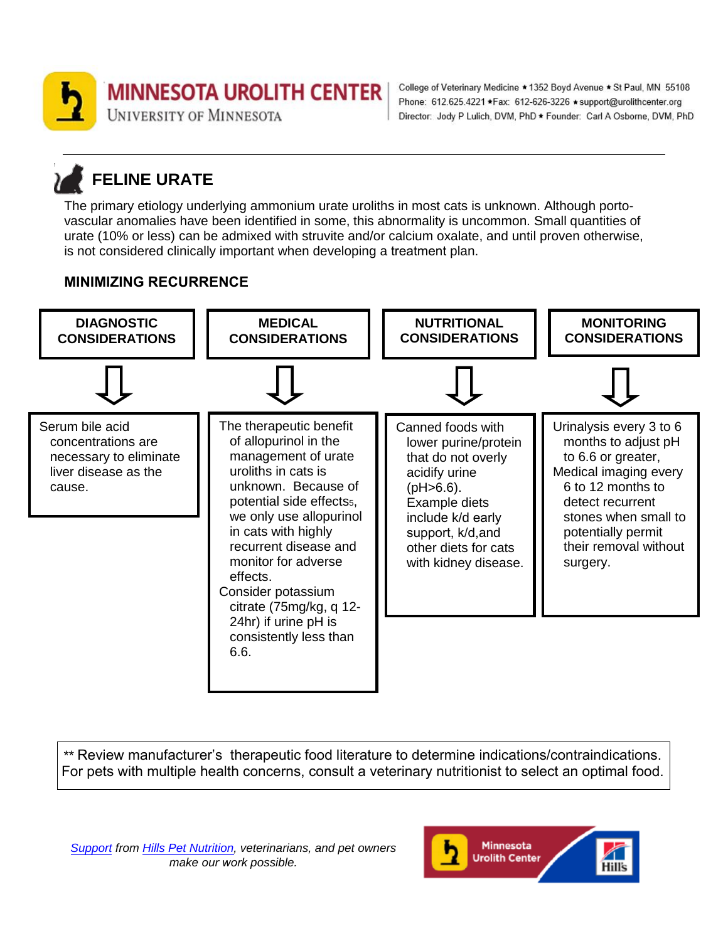

College of Veterinary Medicine \* 1352 Boyd Avenue \* St Paul, MN 55108 Phone: 612.625.4221 \*Fax: 612-626-3226 \*support@urolithcenter.org Director: Jody P Lulich, DVM, PhD \* Founder: Carl A Osborne, DVM, PhD

# **FELINE URATE**

The primary etiology underlying ammonium urate uroliths in most cats is unknown. Although portovascular anomalies have been identified in some, this abnormality is uncommon. Small quantities of urate (10% or less) can be admixed with struvite and/or calcium oxalate, and until proven otherwise, is not considered clinically important when developing a treatment plan.

# **MINIMIZING RECURRENCE**



\*\* Review manufacturer's therapeutic food literature to determine indications/contraindications. For pets with multiple health concerns, consult a veterinary nutritionist to select an optimal food.

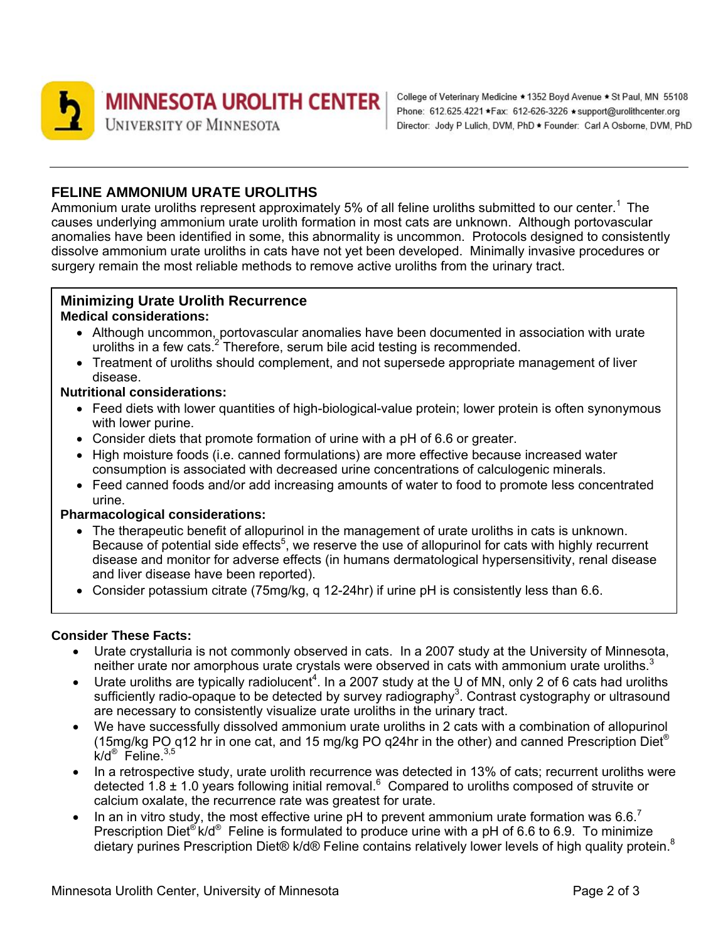

### **FELINE AMMONIUM URATE UROLITHS**

Ammonium urate uroliths represent approximately 5% of all feline uroliths submitted to our center.<sup>1</sup> The causes underlying ammonium urate urolith formation in most cats are unknown. Although portovascular anomalies have been identified in some, this abnormality is uncommon. Protocols designed to consistently dissolve ammonium urate uroliths in cats have not yet been developed. Minimally invasive procedures or surgery remain the most reliable methods to remove active uroliths from the urinary tract.

#### **Minimizing Urate Urolith Recurrence Medical considerations:**

- Although uncommon, portovascular anomalies have been documented in association with urate uroliths in a few cats.<sup>2</sup> Therefore, serum bile acid testing is recommended.
- Treatment of uroliths should complement, and not supersede appropriate management of liver disease.

#### **Nutritional considerations:**

- Feed diets with lower quantities of high-biological-value protein; lower protein is often synonymous with lower purine.
- Consider diets that promote formation of urine with a pH of 6.6 or greater.
- High moisture foods (i.e. canned formulations) are more effective because increased water consumption is associated with decreased urine concentrations of calculogenic minerals.
- Feed canned foods and/or add increasing amounts of water to food to promote less concentrated urine.

#### **Pharmacological considerations:**

- The therapeutic benefit of allopurinol in the management of urate uroliths in cats is unknown. Because of potential side effects<sup>5</sup>, we reserve the use of allopurinol for cats with highly recurrent disease and monitor for adverse effects (in humans dermatological hypersensitivity, renal disease and liver disease have been reported).
- Consider potassium citrate (75mg/kg, q 12-24hr) if urine pH is consistently less than 6.6.

#### **Consider These Facts:**

- Urate crystalluria is not commonly observed in cats. In a 2007 study at the University of Minnesota, neither urate nor amorphous urate crystals were observed in cats with ammonium urate uroliths. $3$
- Urate uroliths are typically radiolucent<sup>4</sup>. In a 2007 study at the U of MN, only 2 of 6 cats had uroliths sufficiently radio-opaque to be detected by survey radiography<sup>3</sup>. Contrast cystography or ultrasound are necessary to consistently visualize urate uroliths in the urinary tract.
- We have successfully dissolved ammonium urate uroliths in 2 cats with a combination of allopurinol (15mg/kg PO q12 hr in one cat, and 15 mg/kg PO q24hr in the other) and canned Prescription Diet<sup>®</sup> k/d® Feline.3,5
- In a retrospective study, urate urolith recurrence was detected in 13% of cats; recurrent uroliths were detected 1.8  $\pm$  1.0 years following initial removal.<sup>6</sup> Compared to uroliths composed of struvite or calcium oxalate, the recurrence rate was greatest for urate.
- In an in vitro study, the most effective urine pH to prevent ammonium urate formation was 6.6.<sup>7</sup> Prescription Diet<sup>®</sup> k/d<sup>®</sup> Feline is formulated to produce urine with a pH of 6.6 to 6.9. To minimize dietary purines Prescription Diet® k/d® Feline contains relatively lower levels of high quality protein.<sup>8</sup>